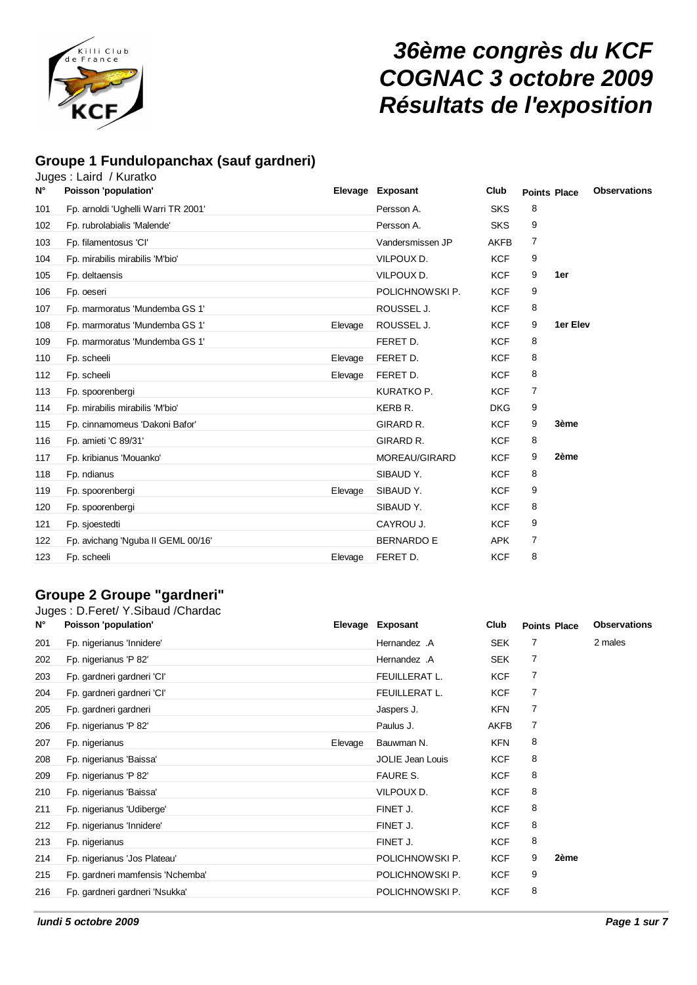

# *36ème congrès du KCF COGNAC 3 octobre 2009 Résultats de l'exposition*

## **Groupe 1 Fundulopanchax (sauf gardneri)**

|             | Juges: Laird / Kuratko              |         |                   |             |                     |          |                     |
|-------------|-------------------------------------|---------|-------------------|-------------|---------------------|----------|---------------------|
| $N^{\circ}$ | Poisson 'population'                |         | Elevage Exposant  | Club        | <b>Points Place</b> |          | <b>Observations</b> |
| 101         | Fp. arnoldi 'Ughelli Warri TR 2001' |         | Persson A.        | <b>SKS</b>  | 8                   |          |                     |
| 102         | Fp. rubrolabialis 'Malende'         |         | Persson A.        | <b>SKS</b>  | 9                   |          |                     |
| 103         | Fp. filamentosus 'CI'               |         | Vandersmissen JP  | <b>AKFB</b> | 7                   |          |                     |
| 104         | Fp. mirabilis mirabilis 'M'bio'     |         | VILPOUX D.        | <b>KCF</b>  | 9                   |          |                     |
| 105         | Fp. deltaensis                      |         | VILPOUX D.        | <b>KCF</b>  | 9                   | 1er      |                     |
| 106         | Fp. oeseri                          |         | POLICHNOWSKI P.   | <b>KCF</b>  | 9                   |          |                     |
| 107         | Fp. marmoratus 'Mundemba GS 1'      |         | ROUSSEL J.        | <b>KCF</b>  | 8                   |          |                     |
| 108         | Fp. marmoratus 'Mundemba GS 1'      | Elevage | ROUSSEL J.        | <b>KCF</b>  | 9                   | 1er Elev |                     |
| 109         | Fp. marmoratus 'Mundemba GS 1'      |         | FERET D.          | <b>KCF</b>  | 8                   |          |                     |
| 110         | Fp. scheeli                         | Elevage | FERET D.          | <b>KCF</b>  | 8                   |          |                     |
| 112         | Fp. scheeli                         | Elevage | FERET D.          | <b>KCF</b>  | 8                   |          |                     |
| 113         | Fp. spoorenbergi                    |         | KURATKO P.        | <b>KCF</b>  | 7                   |          |                     |
| 114         | Fp. mirabilis mirabilis 'M'bio'     |         | KERB R.           | <b>DKG</b>  | 9                   |          |                     |
| 115         | Fp. cinnamomeus 'Dakoni Bafor'      |         | GIRARD R.         | <b>KCF</b>  | 9                   | 3ème     |                     |
| 116         | Fp. amieti 'C 89/31'                |         | GIRARD R.         | <b>KCF</b>  | 8                   |          |                     |
| 117         | Fp. kribianus 'Mouanko'             |         | MOREAU/GIRARD     | <b>KCF</b>  | 9                   | 2ème     |                     |
| 118         | Fp. ndianus                         |         | SIBAUD Y.         | <b>KCF</b>  | 8                   |          |                     |
| 119         | Fp. spoorenbergi                    | Elevage | SIBAUD Y.         | <b>KCF</b>  | 9                   |          |                     |
| 120         | Fp. spoorenbergi                    |         | SIBAUD Y.         | <b>KCF</b>  | 8                   |          |                     |
| 121         | Fp. sjoestedti                      |         | CAYROU J.         | <b>KCF</b>  | 9                   |          |                     |
| 122         | Fp. avichang 'Nguba II GEML 00/16'  |         | <b>BERNARDO E</b> | <b>APK</b>  | 7                   |          |                     |
| 123         | Fp. scheeli                         | Elevage | FERET D.          | <b>KCF</b>  | 8                   |          |                     |
|             |                                     |         |                   |             |                     |          |                     |

## **Groupe 2 Groupe "gardneri"**

|             | Juges: D.Feret/ Y.Sibaud /Chardac |         |                         |             |                     |                     |
|-------------|-----------------------------------|---------|-------------------------|-------------|---------------------|---------------------|
| $N^{\circ}$ | Poisson 'population'              |         | Elevage Exposant        | Club        | <b>Points Place</b> | <b>Observations</b> |
| 201         | Fp. nigerianus 'Innidere'         |         | Hernandez .A            | <b>SEK</b>  | 7                   | 2 males             |
| 202         | Fp. nigerianus 'P 82'             |         | Hernandez .A            | <b>SEK</b>  | 7                   |                     |
| 203         | Fp. gardneri gardneri 'Cl'        |         | FEUILLERAT L.           | <b>KCF</b>  | 7                   |                     |
| 204         | Fp. gardneri gardneri 'Cl'        |         | FEUILLERAT L.           | <b>KCF</b>  | 7                   |                     |
| 205         | Fp. gardneri gardneri             |         | Jaspers J.              | <b>KFN</b>  | 7                   |                     |
| 206         | Fp. nigerianus 'P 82'             |         | Paulus J.               | <b>AKFB</b> | 7                   |                     |
| 207         | Fp. nigerianus                    | Elevage | Bauwman N.              | <b>KFN</b>  | 8                   |                     |
| 208         | Fp. nigerianus 'Baissa'           |         | <b>JOLIE Jean Louis</b> | <b>KCF</b>  | 8                   |                     |
| 209         | Fp. nigerianus 'P 82'             |         | <b>FAURE S.</b>         | <b>KCF</b>  | 8                   |                     |
| 210         | Fp. nigerianus 'Baissa'           |         | VILPOUX D.              | <b>KCF</b>  | 8                   |                     |
| 211         | Fp. nigerianus 'Udiberge'         |         | FINET J.                | <b>KCF</b>  | 8                   |                     |
| 212         | Fp. nigerianus 'Innidere'         |         | FINET J.                | <b>KCF</b>  | 8                   |                     |
| 213         | Fp. nigerianus                    |         | FINET J.                | <b>KCF</b>  | 8                   |                     |
| 214         | Fp. nigerianus 'Jos Plateau'      |         | POLICHNOWSKI P.         | <b>KCF</b>  | 9<br>2ème           |                     |
| 215         | Fp. gardneri mamfensis 'Nchemba'  |         | POLICHNOWSKI P.         | <b>KCF</b>  | 9                   |                     |
| 216         | Fp. gardneri gardneri 'Nsukka'    |         | POLICHNOWSKI P.         | <b>KCF</b>  | 8                   |                     |
|             |                                   |         |                         |             |                     |                     |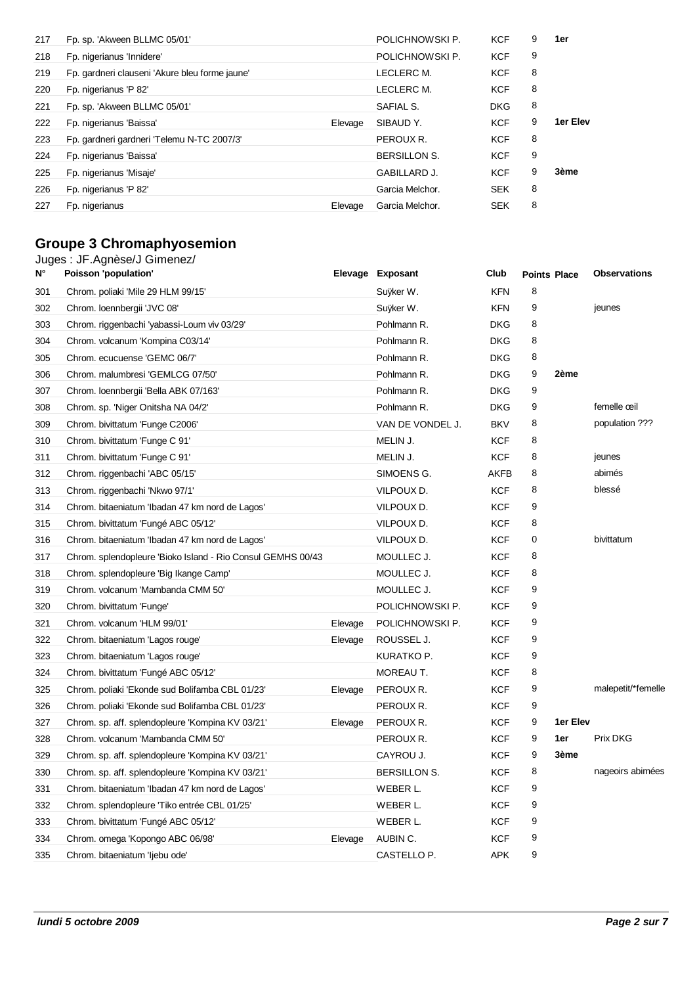| 217 | Fp. sp. 'Akween BLLMC 05/01'                   |         | POLICHNOWSKI P.     | <b>KCF</b> | 9 | 1er      |
|-----|------------------------------------------------|---------|---------------------|------------|---|----------|
| 218 | Fp. nigerianus 'Innidere'                      |         | POLICHNOWSKI P.     | <b>KCF</b> | 9 |          |
| 219 | Fp. gardneri clauseni 'Akure bleu forme jaune' |         | LECLERC M.          | <b>KCF</b> | 8 |          |
| 220 | Fp. nigerianus 'P 82'                          |         | LECLERC M.          | <b>KCF</b> | 8 |          |
| 221 | Fp. sp. 'Akween BLLMC 05/01'                   |         | SAFIAL S.           | <b>DKG</b> | 8 |          |
| 222 | Fp. nigerianus 'Baissa'                        | Elevage | SIBAUD Y.           | <b>KCF</b> | 9 | 1er Elev |
| 223 | Fp. gardneri gardneri 'Telemu N-TC 2007/3'     |         | PEROUX R.           | <b>KCF</b> | 8 |          |
| 224 | Fp. nigerianus 'Baissa'                        |         | <b>BERSILLON S.</b> | <b>KCF</b> | 9 |          |
| 225 | Fp. nigerianus 'Misaje'                        |         | <b>GABILLARD J.</b> | <b>KCF</b> | 9 | 3ème     |
| 226 | Fp. nigerianus 'P 82'                          |         | Garcia Melchor.     | <b>SEK</b> | 8 |          |
| 227 | Fp. nigerianus                                 | Elevage | Garcia Melchor.     | <b>SEK</b> | 8 |          |

## **Groupe 3 Chromaphyosemion**

| N°  | Juges: JF.Agnèse/J Gimenez/<br>Poisson 'population'         |         | Elevage Exposant | Club       | <b>Points Place</b> |          | <b>Observations</b> |
|-----|-------------------------------------------------------------|---------|------------------|------------|---------------------|----------|---------------------|
| 301 | Chrom. poliaki 'Mile 29 HLM 99/15'                          |         | Suyker W.        | <b>KFN</b> | 8                   |          |                     |
| 302 | Chrom. loennbergii 'JVC 08'                                 |         | Suyker W.        | <b>KFN</b> | 9                   |          | jeunes              |
| 303 | Chrom. riggenbachi 'yabassi-Loum viv 03/29'                 |         | Pohlmann R.      | <b>DKG</b> | 8                   |          |                     |
| 304 | Chrom. volcanum 'Kompina C03/14'                            |         | Pohlmann R.      | <b>DKG</b> | 8                   |          |                     |
| 305 | Chrom. ecucuense 'GEMC 06/7'                                |         | Pohlmann R.      | <b>DKG</b> | 8                   |          |                     |
| 306 | Chrom. malumbresi 'GEMLCG 07/50'                            |         | Pohlmann R.      | <b>DKG</b> | 9                   | 2ème     |                     |
| 307 | Chrom. loennbergii 'Bella ABK 07/163'                       |         | Pohlmann R.      | <b>DKG</b> | 9                   |          |                     |
| 308 | Chrom. sp. 'Niger Onitsha NA 04/2'                          |         | Pohlmann R.      | <b>DKG</b> | 9                   |          | femelle œil         |
| 309 | Chrom. bivittatum 'Funge C2006'                             |         | VAN DE VONDEL J. | <b>BKV</b> | 8                   |          | population ???      |
| 310 | Chrom. bivittatum 'Funge C 91'                              |         | MELIN J.         | <b>KCF</b> | 8                   |          |                     |
| 311 | Chrom. bivittatum 'Funge C 91'                              |         | MELIN J.         | <b>KCF</b> | 8                   |          | jeunes              |
| 312 | Chrom. riggenbachi 'ABC 05/15'                              |         | SIMOENS G.       | AKFB       | 8                   |          | abimés              |
| 313 | Chrom. riggenbachi 'Nkwo 97/1'                              |         | VILPOUX D.       | <b>KCF</b> | 8                   |          | blessé              |
| 314 | Chrom. bitaeniatum 'Ibadan 47 km nord de Lagos'             |         | VILPOUX D.       | <b>KCF</b> | 9                   |          |                     |
| 315 | Chrom. bivittatum 'Fungé ABC 05/12'                         |         | VILPOUX D.       | <b>KCF</b> | 8                   |          |                     |
| 316 | Chrom. bitaeniatum 'Ibadan 47 km nord de Lagos'             |         | VILPOUX D.       | <b>KCF</b> | 0                   |          | bivittatum          |
| 317 | Chrom. splendopleure 'Bioko Island - Rio Consul GEMHS 00/43 |         | MOULLEC J.       | <b>KCF</b> | 8                   |          |                     |
| 318 | Chrom. splendopleure 'Big Ikange Camp'                      |         | MOULLEC J.       | <b>KCF</b> | 8                   |          |                     |
| 319 | Chrom. volcanum 'Mambanda CMM 50'                           |         | MOULLEC J.       | <b>KCF</b> | 9                   |          |                     |
| 320 | Chrom. bivittatum 'Funge'                                   |         | POLICHNOWSKI P.  | <b>KCF</b> | 9                   |          |                     |
| 321 | Chrom. volcanum 'HLM 99/01'                                 | Elevage | POLICHNOWSKI P.  | <b>KCF</b> | 9                   |          |                     |
| 322 | Chrom. bitaeniatum 'Lagos rouge'                            | Elevage | ROUSSEL J.       | <b>KCF</b> | 9                   |          |                     |
| 323 | Chrom. bitaeniatum 'Lagos rouge'                            |         | KURATKO P.       | <b>KCF</b> | 9                   |          |                     |
| 324 | Chrom. bivittatum 'Fungé ABC 05/12'                         |         | MOREAU T.        | <b>KCF</b> | 8                   |          |                     |
| 325 | Chrom. poliaki 'Ekonde sud Bolifamba CBL 01/23'             | Elevage | PEROUX R.        | <b>KCF</b> | 9                   |          | malepetit/*femelle  |
| 326 | Chrom. poliaki 'Ekonde sud Bolifamba CBL 01/23'             |         | PEROUX R.        | <b>KCF</b> | 9                   |          |                     |
| 327 | Chrom. sp. aff. splendopleure 'Kompina KV 03/21'            | Elevage | PEROUX R.        | <b>KCF</b> | 9                   | 1er Elev |                     |
| 328 | Chrom. volcanum 'Mambanda CMM 50'                           |         | PEROUX R.        | <b>KCF</b> | 9                   | 1er      | Prix DKG            |
| 329 | Chrom. sp. aff. splendopleure 'Kompina KV 03/21'            |         | CAYROU J.        | <b>KCF</b> | 9                   | 3ème     |                     |
| 330 | Chrom. sp. aff. splendopleure 'Kompina KV 03/21'            |         | BERSILLON S.     | <b>KCF</b> | 8                   |          | nageoirs abimées    |
| 331 | Chrom. bitaeniatum 'Ibadan 47 km nord de Lagos'             |         | WEBER L.         | <b>KCF</b> | 9                   |          |                     |
| 332 | Chrom. splendopleure 'Tiko entrée CBL 01/25'                |         | WEBER L.         | <b>KCF</b> | 9                   |          |                     |
| 333 | Chrom. bivittatum 'Fungé ABC 05/12'                         |         | WEBER L.         | <b>KCF</b> | 9                   |          |                     |
| 334 | Chrom. omega 'Kopongo ABC 06/98'                            | Elevage | AUBIN C.         | <b>KCF</b> | 9                   |          |                     |
| 335 | Chrom. bitaeniatum 'liebu ode'                              |         | CASTELLO P.      | <b>APK</b> | 9                   |          |                     |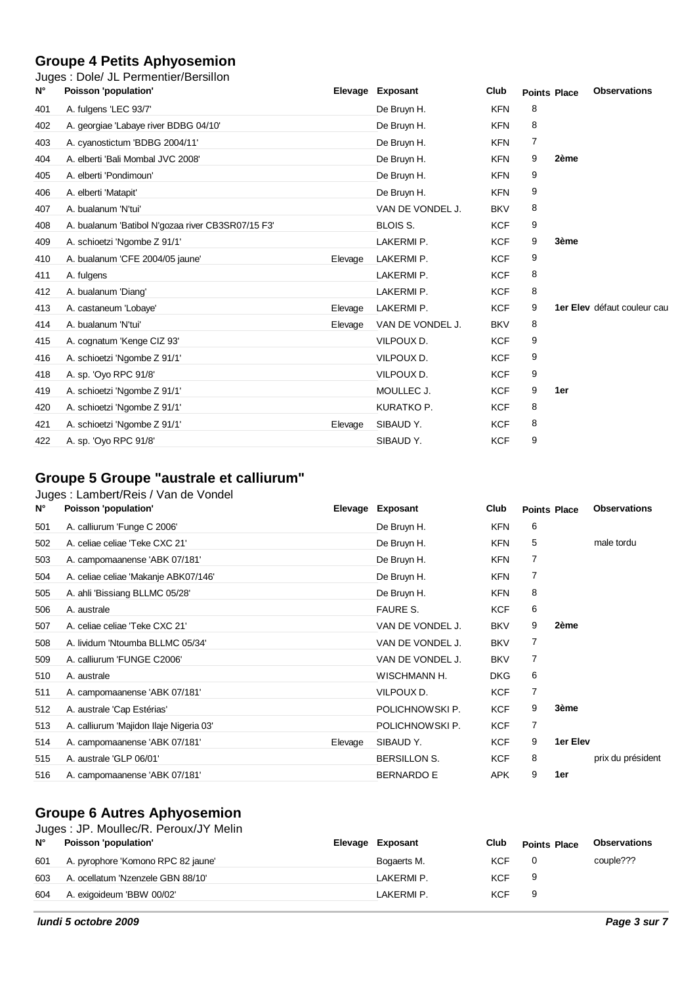## **Groupe 4 Petits Aphyosemion**

|             | Juges: Dole/ JL Permentier/Bersillon              |         |                  |            |                     |      |                             |
|-------------|---------------------------------------------------|---------|------------------|------------|---------------------|------|-----------------------------|
| $N^{\circ}$ | Poisson 'population'                              |         | Elevage Exposant | Club       | <b>Points Place</b> |      | <b>Observations</b>         |
| 401         | A. fulgens 'LEC 93/7'                             |         | De Bruyn H.      | <b>KFN</b> | 8                   |      |                             |
| 402         | A. georgiae 'Labaye river BDBG 04/10'             |         | De Bruyn H.      | <b>KFN</b> | 8                   |      |                             |
| 403         | A. cyanostictum 'BDBG 2004/11'                    |         | De Bruyn H.      | <b>KFN</b> | 7                   |      |                             |
| 404         | A. elberti 'Bali Mombal JVC 2008'                 |         | De Bruyn H.      | <b>KFN</b> | 9                   | 2ème |                             |
| 405         | A. elberti 'Pondimoun'                            |         | De Bruyn H.      | <b>KFN</b> | 9                   |      |                             |
| 406         | A. elberti 'Matapit'                              |         | De Bruyn H.      | <b>KFN</b> | 9                   |      |                             |
| 407         | A. bualanum 'N'tui'                               |         | VAN DE VONDEL J. | <b>BKV</b> | 8                   |      |                             |
| 408         | A. bualanum 'Batibol N'gozaa river CB3SR07/15 F3' |         | <b>BLOIS S.</b>  | <b>KCF</b> | 9                   |      |                             |
| 409         | A. schioetzi 'Ngombe Z 91/1'                      |         | LAKERMI P.       | <b>KCF</b> | 9                   | 3ème |                             |
| 410         | A. bualanum 'CFE 2004/05 jaune'                   | Elevage | LAKERMI P.       | <b>KCF</b> | 9                   |      |                             |
| 411         | A. fulgens                                        |         | LAKERMI P.       | <b>KCF</b> | 8                   |      |                             |
| 412         | A. bualanum 'Diang'                               |         | LAKERMI P.       | <b>KCF</b> | 8                   |      |                             |
| 413         | A. castaneum 'Lobaye'                             | Elevage | LAKERMI P.       | <b>KCF</b> | 9                   |      | 1er Elev défaut couleur cau |
| 414         | A. bualanum 'N'tui'                               | Elevage | VAN DE VONDEL J. | <b>BKV</b> | 8                   |      |                             |
| 415         | A. cognatum 'Kenge CIZ 93'                        |         | VILPOUX D.       | <b>KCF</b> | 9                   |      |                             |
| 416         | A. schioetzi 'Ngombe Z 91/1'                      |         | VILPOUX D.       | <b>KCF</b> | 9                   |      |                             |
| 418         | A. sp. 'Oyo RPC 91/8'                             |         | VILPOUX D.       | <b>KCF</b> | 9                   |      |                             |
| 419         | A. schioetzi 'Ngombe Z 91/1'                      |         | MOULLEC J.       | <b>KCF</b> | 9                   | 1er  |                             |
| 420         | A. schioetzi 'Ngombe Z 91/1'                      |         | KURATKO P.       | <b>KCF</b> | 8                   |      |                             |
| 421         | A. schioetzi 'Ngombe Z 91/1'                      | Elevage | SIBAUD Y.        | <b>KCF</b> | 8                   |      |                             |
| 422         | A. sp. 'Oyo RPC 91/8'                             |         | SIBAUD Y.        | <b>KCF</b> | 9                   |      |                             |

## **Groupe 5 Groupe "australe et calliurum"**

Juges : Lambert/Reis / Van de Vondel

| $N^{\circ}$ | Poisson 'population'                    | Elevage | Exposant          | Club       |                | <b>Points Place</b> | <b>Observations</b> |
|-------------|-----------------------------------------|---------|-------------------|------------|----------------|---------------------|---------------------|
| 501         | A. calliurum 'Funge C 2006'             |         | De Bruyn H.       | <b>KFN</b> | 6              |                     |                     |
| 502         | A. celiae celiae 'Teke CXC 21'          |         | De Bruyn H.       | KFN        | 5              |                     | male tordu          |
| 503         | A. campomaanense 'ABK 07/181'           |         | De Bruyn H.       | <b>KFN</b> | 7              |                     |                     |
| 504         | A. celiae celiae 'Makanje ABK07/146'    |         | De Bruyn H.       | KFN        | 7              |                     |                     |
| 505         | A. ahli 'Bissiang BLLMC 05/28'          |         | De Bruyn H.       | KFN        | 8              |                     |                     |
| 506         | A. australe                             |         | <b>FAURE S.</b>   | <b>KCF</b> | 6              |                     |                     |
| 507         | A. celiae celiae 'Teke CXC 21'          |         | VAN DE VONDEL J.  | <b>BKV</b> | 9              | 2ème                |                     |
| 508         | A. lividum 'Ntoumba BLLMC 05/34'        |         | VAN DE VONDEL J.  | <b>BKV</b> | 7              |                     |                     |
| 509         | A. calliurum 'FUNGE C2006'              |         | VAN DE VONDEL J.  | <b>BKV</b> | $\overline{7}$ |                     |                     |
| 510         | A. australe                             |         | WISCHMANN H.      | <b>DKG</b> | 6              |                     |                     |
| 511         | A. campomaanense 'ABK 07/181'           |         | VILPOUX D.        | <b>KCF</b> | $\overline{7}$ |                     |                     |
| 512         | A. australe 'Cap Estérias'              |         | POLICHNOWSKI P.   | <b>KCF</b> | 9              | 3ème                |                     |
| 513         | A. calliurum 'Majidon Ilaje Nigeria 03' |         | POLICHNOWSKI P.   | <b>KCF</b> | 7              |                     |                     |
| 514         | A. campomaanense 'ABK 07/181'           | Elevage | SIBAUD Y.         | <b>KCF</b> | 9              | 1er Elev            |                     |
| 515         | A. australe 'GLP 06/01'                 |         | BERSILLON S.      | <b>KCF</b> | 8              |                     | prix du président   |
| 516         | A. campomaanense 'ABK 07/181'           |         | <b>BERNARDO E</b> | APK        | 9              | 1er                 |                     |

## **Groupe 6 Autres Aphyosemion**

|             | Juges: JP. Moullec/R. Peroux/JY Melin |  |                  |      |                     |                     |  |  |  |  |  |  |
|-------------|---------------------------------------|--|------------------|------|---------------------|---------------------|--|--|--|--|--|--|
| $N^{\circ}$ | Poisson 'population'                  |  | Elevage Exposant | Club | <b>Points Place</b> | <b>Observations</b> |  |  |  |  |  |  |
| 601         | A. pyrophore 'Komono RPC 82 jaune'    |  | Bogaerts M.      | KCF  |                     | couple???           |  |  |  |  |  |  |
| 603         | A. ocellatum 'Nzenzele GBN 88/10'     |  | LAKERMI P.       | KCF  | - 9                 |                     |  |  |  |  |  |  |
| 604         | A. exigoideum 'BBW 00/02'             |  | LAKERMI P.       | KCF  | - 9                 |                     |  |  |  |  |  |  |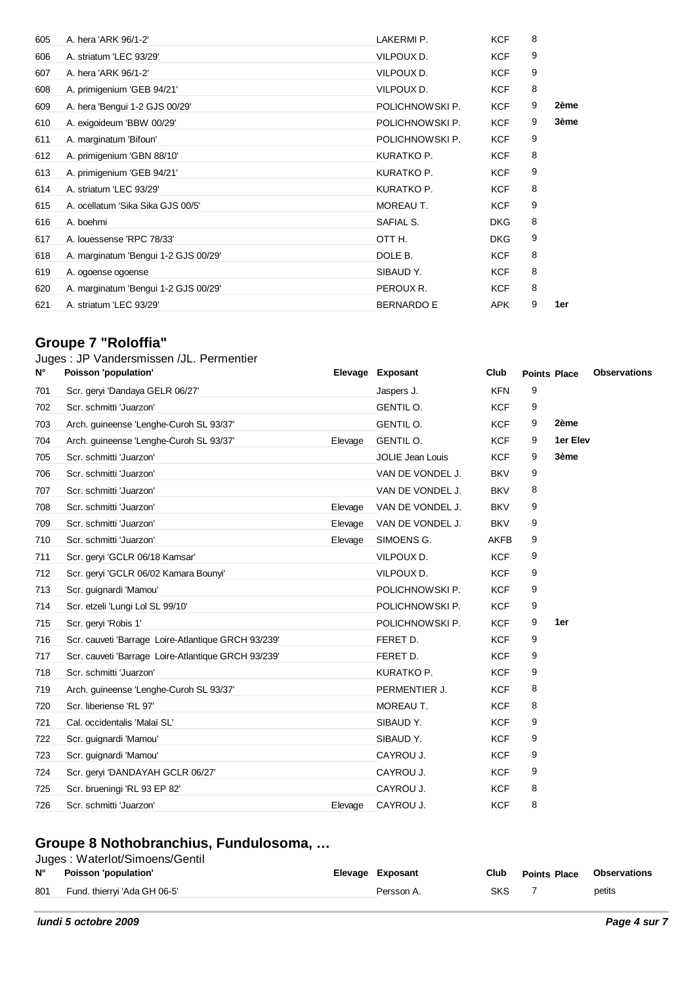| 605 | A. hera 'ARK 96/1-2'                 | LAKERMI P.        | <b>KCF</b> | 8 |      |
|-----|--------------------------------------|-------------------|------------|---|------|
| 606 | A. striatum 'LEC 93/29'              | VILPOUX D.        | <b>KCF</b> | 9 |      |
| 607 | A. hera 'ARK 96/1-2'                 | VILPOUX D.        | <b>KCF</b> | 9 |      |
| 608 | A. primigenium 'GEB 94/21'           | VILPOUX D.        | <b>KCF</b> | 8 |      |
| 609 | A. hera 'Bengui 1-2 GJS 00/29'       | POLICHNOWSKI P.   | <b>KCF</b> | 9 | 2ème |
| 610 | A. exigoideum 'BBW 00/29'            | POLICHNOWSKI P.   | <b>KCF</b> | 9 | 3ème |
| 611 | A. marginatum 'Bifoun'               | POLICHNOWSKI P.   | <b>KCF</b> | 9 |      |
| 612 | A. primigenium 'GBN 88/10'           | KURATKO P.        | <b>KCF</b> | 8 |      |
| 613 | A. primigenium 'GEB 94/21'           | KURATKO P.        | <b>KCF</b> | 9 |      |
| 614 | A. striatum 'LEC 93/29'              | KURATKO P.        | <b>KCF</b> | 8 |      |
| 615 | A. ocellatum 'Sika Sika GJS 00/5'    | MOREAU T.         | <b>KCF</b> | 9 |      |
| 616 | A. boehmi                            | SAFIAL S.         | <b>DKG</b> | 8 |      |
| 617 | A. louessense 'RPC 78/33'            | OTT H.            | <b>DKG</b> | 9 |      |
| 618 | A. marginatum 'Bengui 1-2 GJS 00/29' | DOLE B.           | <b>KCF</b> | 8 |      |
| 619 | A. ogoense ogoense                   | SIBAUD Y.         | <b>KCF</b> | 8 |      |
| 620 | A. marginatum 'Bengui 1-2 GJS 00/29' | PEROUX R.         | <b>KCF</b> | 8 |      |
| 621 | A. striatum 'LEC 93/29'              | <b>BERNARDO E</b> | <b>APK</b> | 9 | 1er  |
|     |                                      |                   |            |   |      |

## **Groupe 7 "Roloffia"**

#### Juges : JP Vandersmissen /JL. Permentier

| N°  | Poisson 'population'                                |         | Elevage Exposant        | Club        | <b>Points Place</b> |          | <b>Observations</b> |
|-----|-----------------------------------------------------|---------|-------------------------|-------------|---------------------|----------|---------------------|
| 701 | Scr. geryi 'Dandaya GELR 06/27'                     |         | Jaspers J.              | <b>KFN</b>  | 9                   |          |                     |
| 702 | Scr. schmitti 'Juarzon'                             |         | GENTIL O.               | <b>KCF</b>  | 9                   |          |                     |
| 703 | Arch. guineense 'Lenghe-Curoh SL 93/37'             |         | <b>GENTIL O.</b>        | <b>KCF</b>  | 9                   | 2ème     |                     |
| 704 | Arch. guineense 'Lenghe-Curoh SL 93/37'             | Elevage | <b>GENTIL O.</b>        | <b>KCF</b>  | 9                   | 1er Elev |                     |
| 705 | Scr. schmitti 'Juarzon'                             |         | <b>JOLIE Jean Louis</b> | <b>KCF</b>  | 9                   | 3ème     |                     |
| 706 | Scr. schmitti 'Juarzon'                             |         | VAN DE VONDEL J.        | <b>BKV</b>  | 9                   |          |                     |
| 707 | Scr. schmitti 'Juarzon'                             |         | VAN DE VONDEL J.        | <b>BKV</b>  | 8                   |          |                     |
| 708 | Scr. schmitti 'Juarzon'                             | Elevage | VAN DE VONDEL J.        | <b>BKV</b>  | 9                   |          |                     |
| 709 | Scr. schmitti 'Juarzon'                             | Elevage | VAN DE VONDEL J.        | <b>BKV</b>  | 9                   |          |                     |
| 710 | Scr. schmitti 'Juarzon'                             | Elevage | SIMOENS G.              | <b>AKFB</b> | 9                   |          |                     |
| 711 | Scr. geryi 'GCLR 06/18 Kamsar'                      |         | VILPOUX D.              | <b>KCF</b>  | 9                   |          |                     |
| 712 | Scr. geryi 'GCLR 06/02 Kamara Bounyi'               |         | VILPOUX D.              | <b>KCF</b>  | 9                   |          |                     |
| 713 | Scr. guignardi 'Mamou'                              |         | POLICHNOWSKI P.         | <b>KCF</b>  | 9                   |          |                     |
| 714 | Scr. etzeli 'Lungi Lol SL 99/10'                    |         | POLICHNOWSKI P.         | <b>KCF</b>  | 9                   |          |                     |
| 715 | Scr. geryi 'Robis 1'                                |         | POLICHNOWSKI P.         | <b>KCF</b>  | 9                   | 1er      |                     |
| 716 | Scr. cauveti 'Barrage Loire-Atlantique GRCH 93/239' |         | FERET D.                | <b>KCF</b>  | 9                   |          |                     |
| 717 | Scr. cauveti 'Barrage Loire-Atlantique GRCH 93/239' |         | FERET D.                | <b>KCF</b>  | 9                   |          |                     |
| 718 | Scr. schmitti 'Juarzon'                             |         | KURATKO P.              | <b>KCF</b>  | 9                   |          |                     |
| 719 | Arch. guineense 'Lenghe-Curoh SL 93/37'             |         | PERMENTIER J.           | <b>KCF</b>  | 8                   |          |                     |
| 720 | Scr. liberiense 'RL 97'                             |         | MOREAU T.               | <b>KCF</b>  | 8                   |          |                     |
| 721 | Cal. occidentalis 'Malaï SL'                        |         | SIBAUD Y.               | <b>KCF</b>  | 9                   |          |                     |
| 722 | Scr. guignardi 'Mamou'                              |         | SIBAUD Y.               | <b>KCF</b>  | 9                   |          |                     |
| 723 | Scr. guignardi 'Mamou'                              |         | CAYROU J.               | <b>KCF</b>  | 9                   |          |                     |
| 724 | Scr. geryi 'DANDAYAH GCLR 06/27'                    |         | CAYROU J.               | <b>KCF</b>  | 9                   |          |                     |
| 725 | Scr. brueningi 'RL 93 EP 82'                        |         | CAYROU J.               | <b>KCF</b>  | 8                   |          |                     |
| 726 | Scr. schmitti 'Juarzon'                             | Elevage | CAYROU J.               | <b>KCF</b>  | 8                   |          |                     |

#### **Groupe 8 Nothobranchius, Fundulosoma, …**

|             | Juges: Waterlot/Simoens/Gentil |  |                  |      |                     |              |  |  |  |
|-------------|--------------------------------|--|------------------|------|---------------------|--------------|--|--|--|
| $N^{\circ}$ | Poisson 'population'           |  | Elevage Exposant | Club | <b>Points Place</b> | Observations |  |  |  |
| 801         | Fund. thierryi 'Ada GH 06-5'   |  | Persson A.       | SKS  |                     | petits       |  |  |  |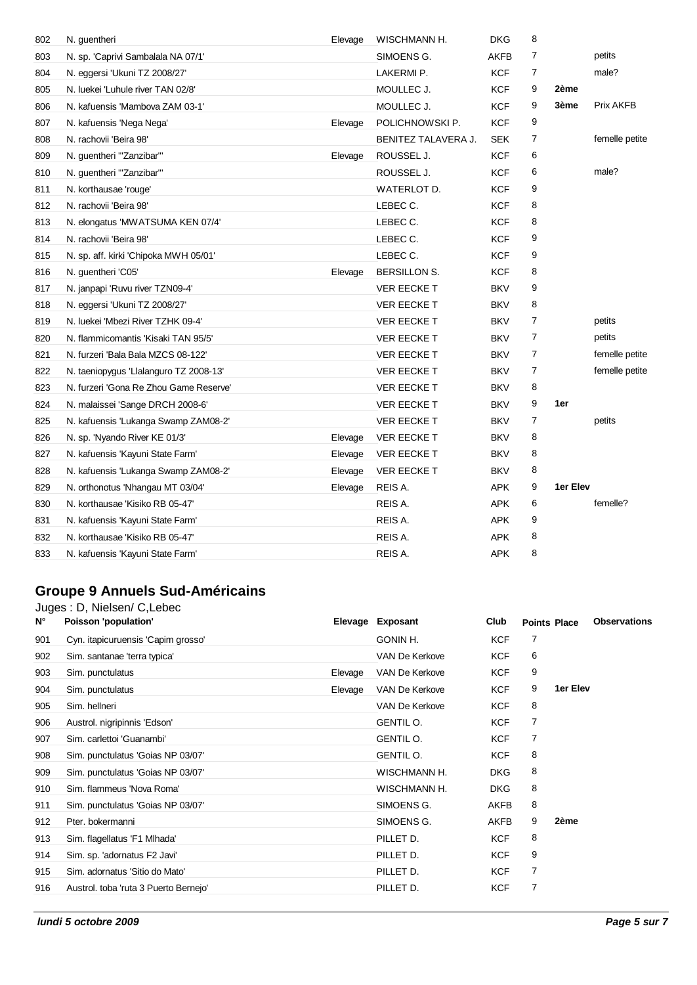| 802 | N. guentheri                           | Elevage | WISCHMANN H.        | <b>DKG</b> | 8              |          |                  |
|-----|----------------------------------------|---------|---------------------|------------|----------------|----------|------------------|
| 803 | N. sp. 'Caprivi Sambalala NA 07/1'     |         | SIMOENS G.          | AKFB       | $\overline{7}$ |          | petits           |
| 804 | N. eggersi 'Ukuni TZ 2008/27'          |         | LAKERMI P.          | <b>KCF</b> | 7              |          | male?            |
| 805 | N. luekei 'Luhule river TAN 02/8'      |         | MOULLEC J.          | <b>KCF</b> | 9              | 2ème     |                  |
| 806 | N. kafuensis 'Mambova ZAM 03-1'        |         | MOULLEC J.          | <b>KCF</b> | 9              | 3ème     | <b>Prix AKFB</b> |
| 807 | N. kafuensis 'Nega Nega'               | Elevage | POLICHNOWSKI P.     | <b>KCF</b> | 9              |          |                  |
| 808 | N. rachovii 'Beira 98'                 |         | BENITEZ TALAVERA J. | SEK        | 7              |          | femelle petite   |
| 809 | N. guentheri "Zanzibar"                | Elevage | ROUSSEL J.          | <b>KCF</b> | 6              |          |                  |
| 810 | N. guentheri "Zanzibar"                |         | ROUSSEL J.          | <b>KCF</b> | 6              |          | male?            |
| 811 | N. korthausae 'rouge'                  |         | WATERLOT D.         | <b>KCF</b> | 9              |          |                  |
| 812 | N. rachovii 'Beira 98'                 |         | LEBEC C.            | <b>KCF</b> | 8              |          |                  |
| 813 | N. elongatus 'MWATSUMA KEN 07/4'       |         | LEBEC C.            | <b>KCF</b> | 8              |          |                  |
| 814 | N. rachovii 'Beira 98'                 |         | LEBEC C.            | KCF        | 9              |          |                  |
| 815 | N. sp. aff. kirki 'Chipoka MWH 05/01'  |         | LEBEC C.            | <b>KCF</b> | 9              |          |                  |
| 816 | N. guentheri 'C05'                     | Elevage | <b>BERSILLON S.</b> | <b>KCF</b> | 8              |          |                  |
| 817 | N. janpapi 'Ruvu river TZN09-4'        |         | <b>VER EECKE T</b>  | <b>BKV</b> | 9              |          |                  |
| 818 | N. eggersi 'Ukuni TZ 2008/27'          |         | <b>VER EECKE T</b>  | <b>BKV</b> | 8              |          |                  |
| 819 | N. luekei 'Mbezi River TZHK 09-4'      |         | <b>VER EECKE T</b>  | <b>BKV</b> | 7              |          | petits           |
| 820 | N. flammicomantis 'Kisaki TAN 95/5'    |         | <b>VER EECKE T</b>  | <b>BKV</b> | $\overline{7}$ |          | petits           |
| 821 | N. furzeri 'Bala Bala MZCS 08-122'     |         | <b>VER EECKE T</b>  | <b>BKV</b> | 7              |          | femelle petite   |
| 822 | N. taeniopygus 'Llalanguro TZ 2008-13' |         | <b>VER EECKE T</b>  | <b>BKV</b> | $\overline{7}$ |          | femelle petite   |
| 823 | N. furzeri 'Gona Re Zhou Game Reserve' |         | VER EECKE T         | <b>BKV</b> | 8              |          |                  |
| 824 | N. malaissei 'Sange DRCH 2008-6'       |         | <b>VER EECKE T</b>  | <b>BKV</b> | 9              | 1er      |                  |
| 825 | N. kafuensis 'Lukanga Swamp ZAM08-2'   |         | <b>VER EECKE T</b>  | <b>BKV</b> | 7              |          | petits           |
| 826 | N. sp. 'Nyando River KE 01/3'          | Elevage | <b>VER EECKE T</b>  | <b>BKV</b> | 8              |          |                  |
| 827 | N. kafuensis 'Kayuni State Farm'       | Elevage | <b>VER EECKE T</b>  | <b>BKV</b> | 8              |          |                  |
| 828 | N. kafuensis 'Lukanga Swamp ZAM08-2'   | Elevage | VER EECKE T         | <b>BKV</b> | 8              |          |                  |
| 829 | N. orthonotus 'Nhangau MT 03/04'       | Elevage | REIS A.             | <b>APK</b> | 9              | 1er Elev |                  |
| 830 | N. korthausae 'Kisiko RB 05-47'        |         | REIS A.             | <b>APK</b> | 6              |          | femelle?         |
| 831 | N. kafuensis 'Kayuni State Farm'       |         | REIS A.             | <b>APK</b> | 9              |          |                  |
| 832 | N. korthausae 'Kisiko RB 05-47'        |         | REIS A.             | <b>APK</b> | 8              |          |                  |
| 833 | N. kafuensis 'Kayuni State Farm'       |         | REIS A.             | <b>APK</b> | 8              |          |                  |

## **Groupe 9 Annuels Sud-Américains**

| $N^{\circ}$ | Juges: D, Nielsen/ C, Lebec<br>Poisson 'population' |         | Elevage Exposant | Club        | <b>Points Place</b> |          | <b>Observations</b> |
|-------------|-----------------------------------------------------|---------|------------------|-------------|---------------------|----------|---------------------|
|             |                                                     |         |                  |             |                     |          |                     |
| 901         | Cyn. itapicuruensis 'Capim grosso'                  |         | GONIN H.         | <b>KCF</b>  | 7                   |          |                     |
| 902         | Sim. santanae 'terra typica'                        |         | VAN De Kerkove   | <b>KCF</b>  | 6                   |          |                     |
| 903         | Sim. punctulatus                                    | Elevage | VAN De Kerkove   | <b>KCF</b>  | 9                   |          |                     |
| 904         | Sim. punctulatus                                    | Elevage | VAN De Kerkove   | <b>KCF</b>  | 9                   | 1er Elev |                     |
| 905         | Sim. hellneri                                       |         | VAN De Kerkove   | <b>KCF</b>  | 8                   |          |                     |
| 906         | Austrol. nigripinnis 'Edson'                        |         | <b>GENTIL O.</b> | <b>KCF</b>  | 7                   |          |                     |
| 907         | Sim. carlettoi 'Guanambi'                           |         | <b>GENTIL O.</b> | <b>KCF</b>  | 7                   |          |                     |
| 908         | Sim. punctulatus 'Goias NP 03/07'                   |         | <b>GENTIL O.</b> | <b>KCF</b>  | 8                   |          |                     |
| 909         | Sim. punctulatus 'Goias NP 03/07'                   |         | WISCHMANN H.     | <b>DKG</b>  | 8                   |          |                     |
| 910         | Sim. flammeus 'Nova Roma'                           |         | WISCHMANN H.     | <b>DKG</b>  | 8                   |          |                     |
| 911         | Sim. punctulatus 'Goias NP 03/07'                   |         | SIMOENS G.       | <b>AKFB</b> | 8                   |          |                     |
| 912         | Pter, bokermanni                                    |         | SIMOENS G.       | <b>AKFB</b> | 9                   | 2ème     |                     |
| 913         | Sim. flagellatus 'F1 Mlhada'                        |         | PILLET D.        | <b>KCF</b>  | 8                   |          |                     |
| 914         | Sim. sp. 'adornatus F2 Javi'                        |         | PILLET D.        | <b>KCF</b>  | 9                   |          |                     |
| 915         | Sim. adornatus 'Sitio do Mato'                      |         | PILLET D.        | <b>KCF</b>  | 7                   |          |                     |
| 916         | Austrol. toba 'ruta 3 Puerto Bernejo'               |         | PILLET D.        | <b>KCF</b>  | 7                   |          |                     |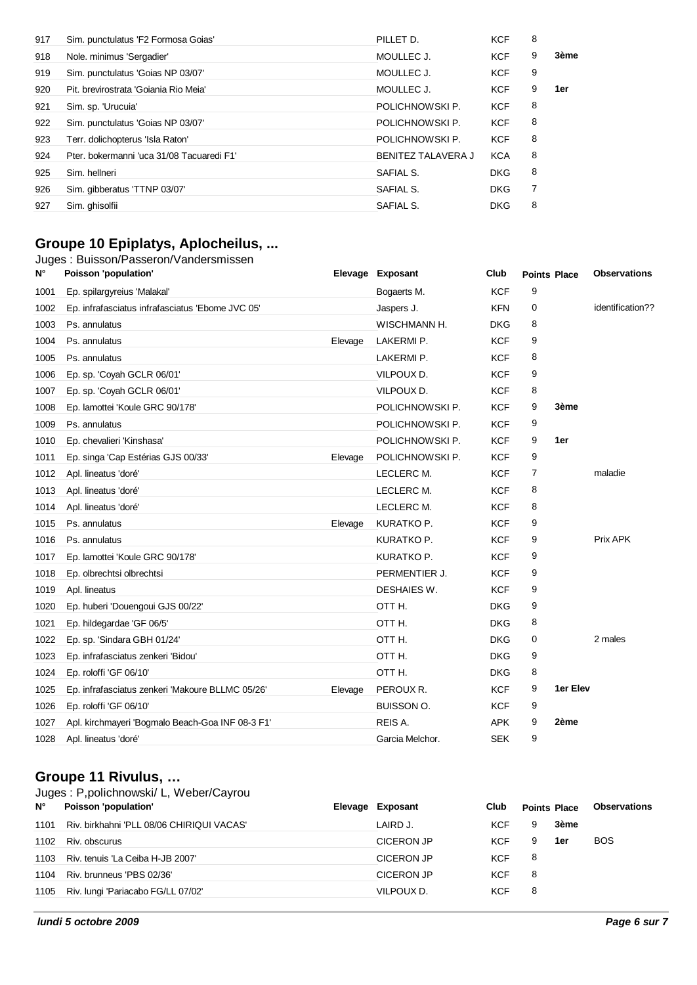| 917 | Sim. punctulatus 'F2 Formosa Goias'       | PILLET D.                 | <b>KCF</b> | 8              |      |
|-----|-------------------------------------------|---------------------------|------------|----------------|------|
| 918 | Nole. minimus 'Sergadier'                 | MOULLEC J.                | <b>KCF</b> | 9              | 3ème |
| 919 | Sim. punctulatus 'Goias NP 03/07'         | MOULLEC J.                | <b>KCF</b> | 9              |      |
| 920 | Pit. brevirostrata 'Goiania Rio Meia'     | MOULLEC J.                | <b>KCF</b> | 9              | 1er  |
| 921 | Sim. sp. 'Urucuia'                        | POLICHNOWSKI P.           | <b>KCF</b> | 8              |      |
| 922 | Sim. punctulatus 'Goias NP 03/07'         | POLICHNOWSKI P.           | <b>KCF</b> | 8              |      |
| 923 | Terr. dolichopterus 'Isla Raton'          | POLICHNOWSKI P.           | <b>KCF</b> | 8              |      |
| 924 | Pter, bokermanni 'uca 31/08 Tacuaredi F1' | <b>BENITEZ TALAVERA J</b> | <b>KCA</b> | 8              |      |
| 925 | Sim. hellneri                             | SAFIAL S.                 | <b>DKG</b> | 8              |      |
| 926 | Sim. gibberatus 'TTNP 03/07'              | SAFIAL S.                 | <b>DKG</b> | $\overline{7}$ |      |
| 927 | Sim. ghisolfii                            | SAFIAL S.                 | <b>DKG</b> | 8              |      |

## **Groupe 10 Epiplatys, Aplocheilus, ...**

#### Juges : Buisson/Passeron/Vandersmissen

| N°   | Poisson 'population'                             |         | Elevage Exposant  | Club       | <b>Points Place</b> |          | <b>Observations</b> |
|------|--------------------------------------------------|---------|-------------------|------------|---------------------|----------|---------------------|
| 1001 | Ep. spilargyreius 'Malakal'                      |         | Bogaerts M.       | <b>KCF</b> | 9                   |          |                     |
| 1002 | Ep. infrafasciatus infrafasciatus 'Ebome JVC 05' |         | Jaspers J.        | <b>KFN</b> | 0                   |          | identification??    |
| 1003 | Ps. annulatus                                    |         | WISCHMANN H.      | <b>DKG</b> | 8                   |          |                     |
| 1004 | Ps. annulatus                                    | Elevage | LAKERMI P.        | <b>KCF</b> | 9                   |          |                     |
| 1005 | Ps. annulatus                                    |         | LAKERMI P.        | <b>KCF</b> | 8                   |          |                     |
| 1006 | Ep. sp. 'Coyah GCLR 06/01'                       |         | VILPOUX D.        | <b>KCF</b> | 9                   |          |                     |
| 1007 | Ep. sp. 'Coyah GCLR 06/01'                       |         | VILPOUX D.        | <b>KCF</b> | 8                   |          |                     |
| 1008 | Ep. lamottei 'Koule GRC 90/178'                  |         | POLICHNOWSKI P.   | <b>KCF</b> | 9                   | 3ème     |                     |
| 1009 | Ps. annulatus                                    |         | POLICHNOWSKI P.   | <b>KCF</b> | 9                   |          |                     |
| 1010 | Ep. chevalieri 'Kinshasa'                        |         | POLICHNOWSKI P.   | <b>KCF</b> | 9                   | 1er      |                     |
| 1011 | Ep. singa 'Cap Estérias GJS 00/33'               | Elevage | POLICHNOWSKI P.   | <b>KCF</b> | 9                   |          |                     |
| 1012 | Apl. lineatus 'doré'                             |         | LECLERC M.        | <b>KCF</b> | 7                   |          | maladie             |
| 1013 | Apl. lineatus 'doré'                             |         | LECLERC M.        | <b>KCF</b> | 8                   |          |                     |
| 1014 | Apl. lineatus 'doré'                             |         | LECLERC M.        | <b>KCF</b> | 8                   |          |                     |
| 1015 | Ps. annulatus                                    | Elevage | KURATKO P.        | <b>KCF</b> | 9                   |          |                     |
| 1016 | Ps. annulatus                                    |         | KURATKO P.        | <b>KCF</b> | 9                   |          | Prix APK            |
| 1017 | Ep. lamottei 'Koule GRC 90/178'                  |         | KURATKO P.        | <b>KCF</b> | 9                   |          |                     |
| 1018 | Ep. olbrechtsi olbrechtsi                        |         | PERMENTIER J.     | <b>KCF</b> | 9                   |          |                     |
| 1019 | Apl. lineatus                                    |         | DESHAIES W.       | <b>KCF</b> | 9                   |          |                     |
| 1020 | Ep. huberi 'Douengoui GJS 00/22'                 |         | OTTH.             | <b>DKG</b> | 9                   |          |                     |
| 1021 | Ep. hildegardae 'GF 06/5'                        |         | OTT H.            | <b>DKG</b> | 8                   |          |                     |
| 1022 | Ep. sp. 'Sindara GBH 01/24'                      |         | OTTH.             | <b>DKG</b> | 0                   |          | 2 males             |
| 1023 | Ep. infrafasciatus zenkeri 'Bidou'               |         | OTT H.            | <b>DKG</b> | 9                   |          |                     |
| 1024 | Ep. roloffi 'GF 06/10'                           |         | OTTH.             | <b>DKG</b> | 8                   |          |                     |
| 1025 | Ep. infrafasciatus zenkeri 'Makoure BLLMC 05/26' | Elevage | PEROUX R.         | <b>KCF</b> | 9                   | 1er Elev |                     |
| 1026 | Ep. roloffi 'GF 06/10'                           |         | <b>BUISSON O.</b> | <b>KCF</b> | 9                   |          |                     |
| 1027 | Apl. kirchmayeri 'Bogmalo Beach-Goa INF 08-3 F1' |         | REIS A.           | <b>APK</b> | 9                   | 2ème     |                     |
| 1028 | Apl. lineatus 'doré'                             |         | Garcia Melchor.   | <b>SEK</b> | 9                   |          |                     |

### **Groupe 11 Rivulus, …**

| $N^{\circ}$ | Juges: P, polichnowski/ L, Weber/Cayrou<br>Poisson 'population' | Elevage Exposant  | Club       | <b>Points Place</b> |      | <b>Observations</b> |
|-------------|-----------------------------------------------------------------|-------------------|------------|---------------------|------|---------------------|
| 1101        | Riv. birkhahni 'PLL 08/06 CHIRIQUI VACAS'                       | LAIRD J.          | KCF        | 9                   | 3ème |                     |
| 1102        | Riv. obscurus                                                   | <b>CICERON JP</b> | <b>KCF</b> | 9                   | 1er  | <b>BOS</b>          |
| 1103        | Riv. tenuis 'La Ceiba H-JB 2007'                                | CICERON JP        | <b>KCF</b> | 8                   |      |                     |
| 1104        | Riv. brunneus 'PBS 02/36'                                       | CICERON JP        | <b>KCF</b> | 8                   |      |                     |
|             | 1105 Riv. lungi 'Pariacabo FG/LL 07/02'                         | VILPOUX D.        | KCF        | 8                   |      |                     |